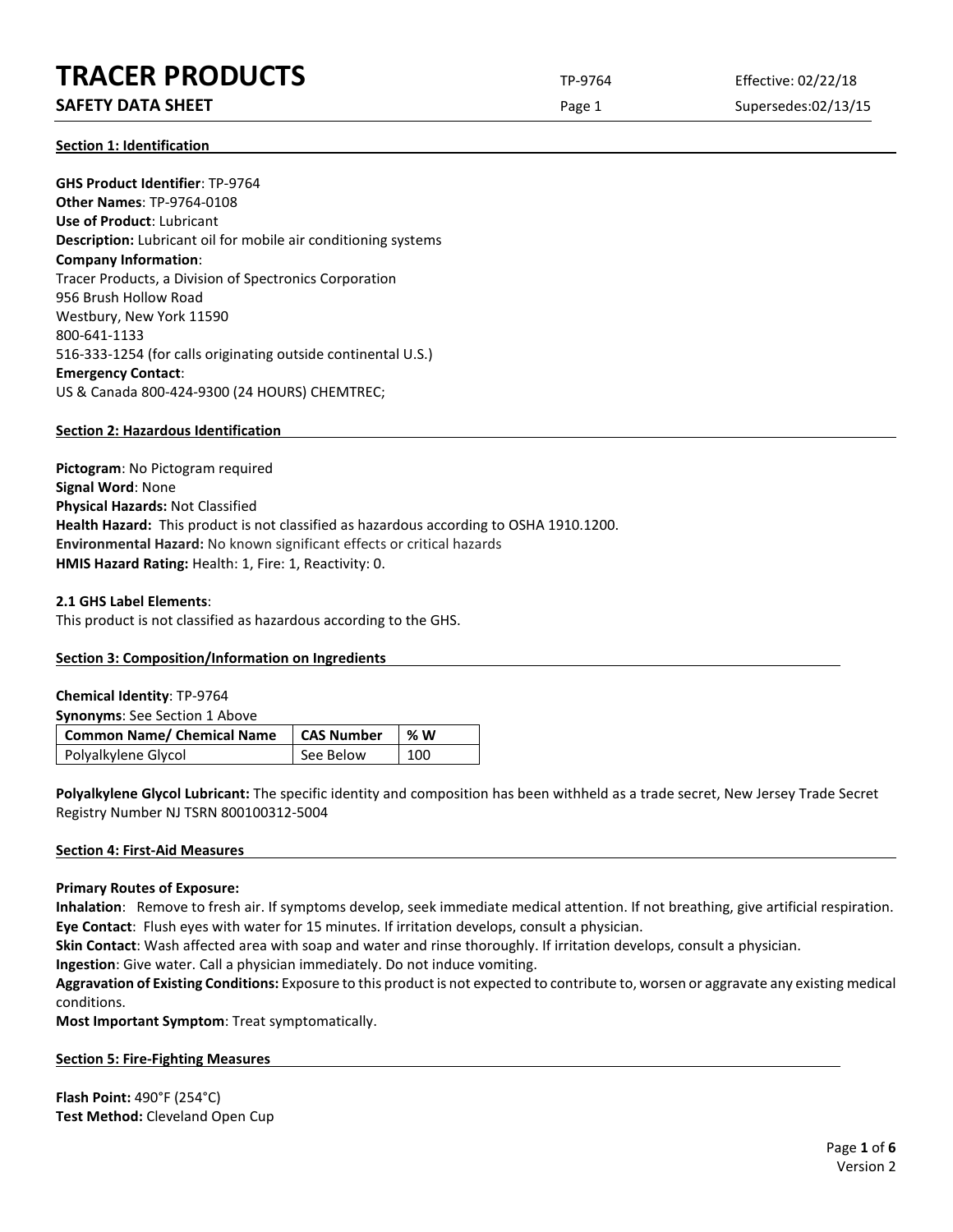# **TRACER PRODUCTS** TP-9764 Effective: 02/22/18

## **SAFETY DATA SHEET** SUPERFOUR CONSUMING THE Page 1 Supersedes:02/13/15

**Section 1: Identification**

**GHS Product Identifier**: TP-9764 **Other Names**: TP-9764-0108 **Use of Product**: Lubricant **Description:** Lubricant oil for mobile air conditioning systems **Company Information**: Tracer Products, a Division of Spectronics Corporation 956 Brush Hollow Road Westbury, New York 11590 800-641-1133 516-333-1254 (for calls originating outside continental U.S.) **Emergency Contact**: US & Canada 800-424-9300 (24 HOURS) CHEMTREC;

#### **Section 2: Hazardous Identification**

**Pictogram**: No Pictogram required **Signal Word**: None **Physical Hazards:** Not Classified **Health Hazard:** This product is not classified as hazardous according to OSHA 1910.1200. **Environmental Hazard:** No known significant effects or critical hazards **HMIS Hazard Rating:** Health: 1, Fire: 1, Reactivity: 0.

#### **2.1 GHS Label Elements**:

This product is not classified as hazardous according to the GHS.

### **Section 3: Composition/Information on Ingredients**

| <b>Chemical Identity: TP-9764</b>    |                   |    |
|--------------------------------------|-------------------|----|
| <b>Synonyms:</b> See Section 1 Above |                   |    |
|                                      |                   |    |
| <b>Common Name/ Chemical Name</b>    | <b>CAS Number</b> | %W |

**Polyalkylene Glycol Lubricant:** The specific identity and composition has been withheld as a trade secret, New Jersey Trade Secret Registry Number NJ TSRN 800100312-5004

#### **Section 4: First-Aid Measures**

#### **Primary Routes of Exposure:**

**Inhalation**: Remove to fresh air. If symptoms develop, seek immediate medical attention. If not breathing, give artificial respiration. **Eye Contact**: Flush eyes with water for 15 minutes. If irritation develops, consult a physician.

**Skin Contact**: Wash affected area with soap and water and rinse thoroughly. If irritation develops, consult a physician.

**Ingestion**: Give water. Call a physician immediately. Do not induce vomiting.

**Aggravation of Existing Conditions:** Exposure to this product is not expected to contribute to, worsen or aggravate any existing medical conditions.

**Most Important Symptom**: Treat symptomatically.

#### **Section 5: Fire-Fighting Measures**

**Flash Point:** 490°F (254°C) **Test Method:** Cleveland Open Cup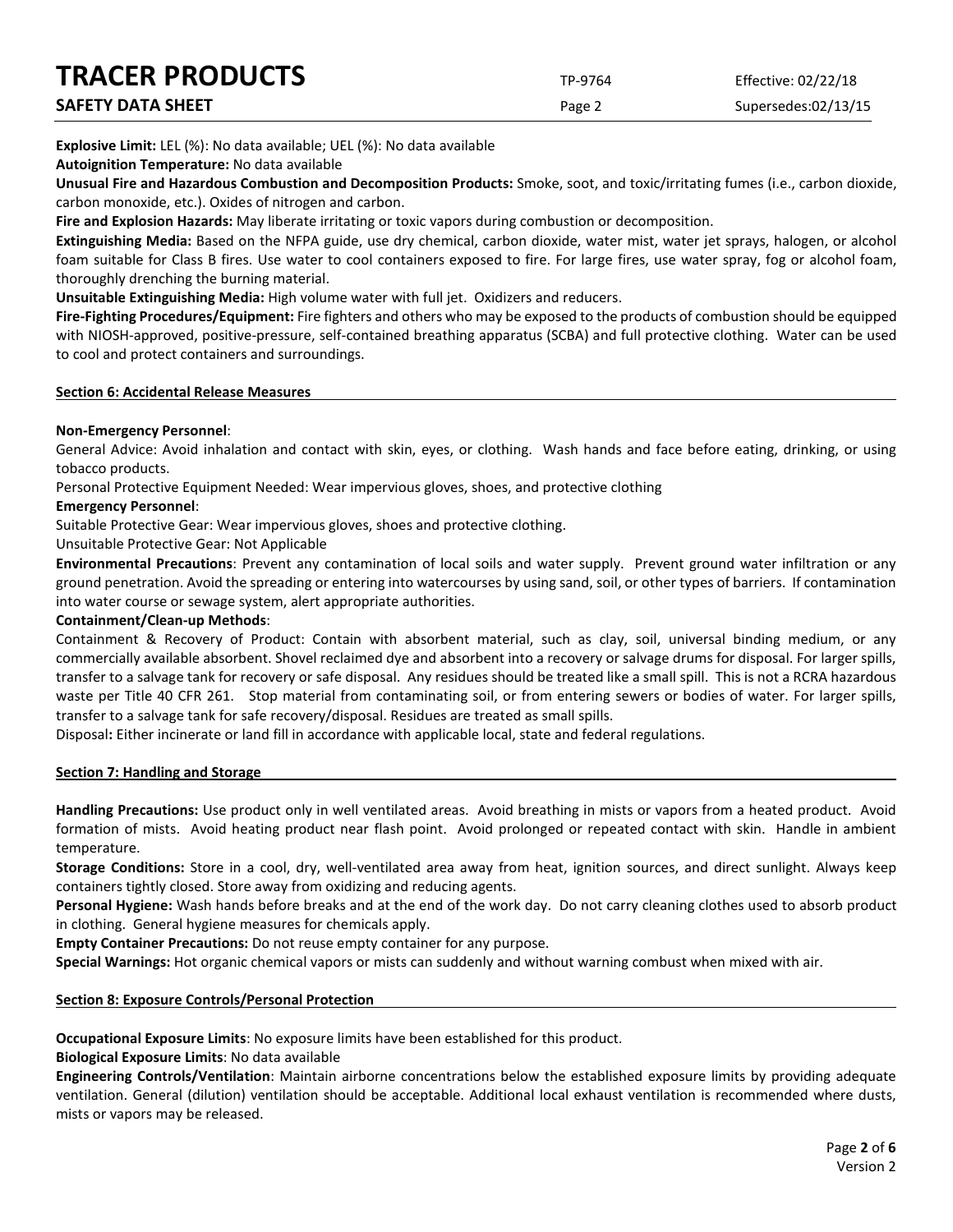| <b>TRACER PRODUCTS</b> | TP-9764 | Effective: 02/22/18 |
|------------------------|---------|---------------------|
| SAFETY DATA SHEET      | Page 2  | Supersedes:02/13/15 |

**Explosive Limit:** LEL (%): No data available; UEL (%): No data available

**Autoignition Temperature:** No data available

**Unusual Fire and Hazardous Combustion and Decomposition Products:** Smoke, soot, and toxic/irritating fumes (i.e., carbon dioxide, carbon monoxide, etc.). Oxides of nitrogen and carbon.

**Fire and Explosion Hazards:** May liberate irritating or toxic vapors during combustion or decomposition.

**Extinguishing Media:** Based on the NFPA guide, use dry chemical, carbon dioxide, water mist, water jet sprays, halogen, or alcohol foam suitable for Class B fires. Use water to cool containers exposed to fire. For large fires, use water spray, fog or alcohol foam, thoroughly drenching the burning material.

**Unsuitable Extinguishing Media:** High volume water with full jet. Oxidizers and reducers.

**Fire-Fighting Procedures/Equipment:** Fire fighters and others who may be exposed to the products of combustion should be equipped with NIOSH-approved, positive-pressure, self-contained breathing apparatus (SCBA) and full protective clothing. Water can be used to cool and protect containers and surroundings.

#### **Section 6: Accidental Release Measures**

#### **Non-Emergency Personnel**:

General Advice: Avoid inhalation and contact with skin, eyes, or clothing. Wash hands and face before eating, drinking, or using tobacco products.

Personal Protective Equipment Needed: Wear impervious gloves, shoes, and protective clothing

#### **Emergency Personnel**:

Suitable Protective Gear: Wear impervious gloves, shoes and protective clothing.

Unsuitable Protective Gear: Not Applicable

**Environmental Precautions**: Prevent any contamination of local soils and water supply. Prevent ground water infiltration or any ground penetration. Avoid the spreading or entering into watercourses by using sand, soil, or other types of barriers. If contamination into water course or sewage system, alert appropriate authorities.

#### **Containment/Clean-up Methods**:

Containment & Recovery of Product: Contain with absorbent material, such as clay, soil, universal binding medium, or any commercially available absorbent. Shovel reclaimed dye and absorbent into a recovery or salvage drums for disposal. For larger spills, transfer to a salvage tank for recovery or safe disposal. Any residues should be treated like a small spill. This is not a RCRA hazardous waste per Title 40 CFR 261. Stop material from contaminating soil, or from entering sewers or bodies of water. For larger spills, transfer to a salvage tank for safe recovery/disposal. Residues are treated as small spills.

Disposal**:** Either incinerate or land fill in accordance with applicable local, state and federal regulations.

#### **Section 7: Handling and Storage**

**Handling Precautions:** Use product only in well ventilated areas. Avoid breathing in mists or vapors from a heated product. Avoid formation of mists. Avoid heating product near flash point. Avoid prolonged or repeated contact with skin. Handle in ambient temperature.

**Storage Conditions:** Store in a cool, dry, well-ventilated area away from heat, ignition sources, and direct sunlight. Always keep containers tightly closed. Store away from oxidizing and reducing agents.

**Personal Hygiene:** Wash hands before breaks and at the end of the work day. Do not carry cleaning clothes used to absorb product in clothing. General hygiene measures for chemicals apply.

**Empty Container Precautions:** Do not reuse empty container for any purpose.

**Special Warnings:** Hot organic chemical vapors or mists can suddenly and without warning combust when mixed with air.

#### **Section 8: Exposure Controls/Personal Protection**

**Occupational Exposure Limits**: No exposure limits have been established for this product.

**Biological Exposure Limits**: No data available

**Engineering Controls/Ventilation**: Maintain airborne concentrations below the established exposure limits by providing adequate ventilation. General (dilution) ventilation should be acceptable. Additional local exhaust ventilation is recommended where dusts, mists or vapors may be released.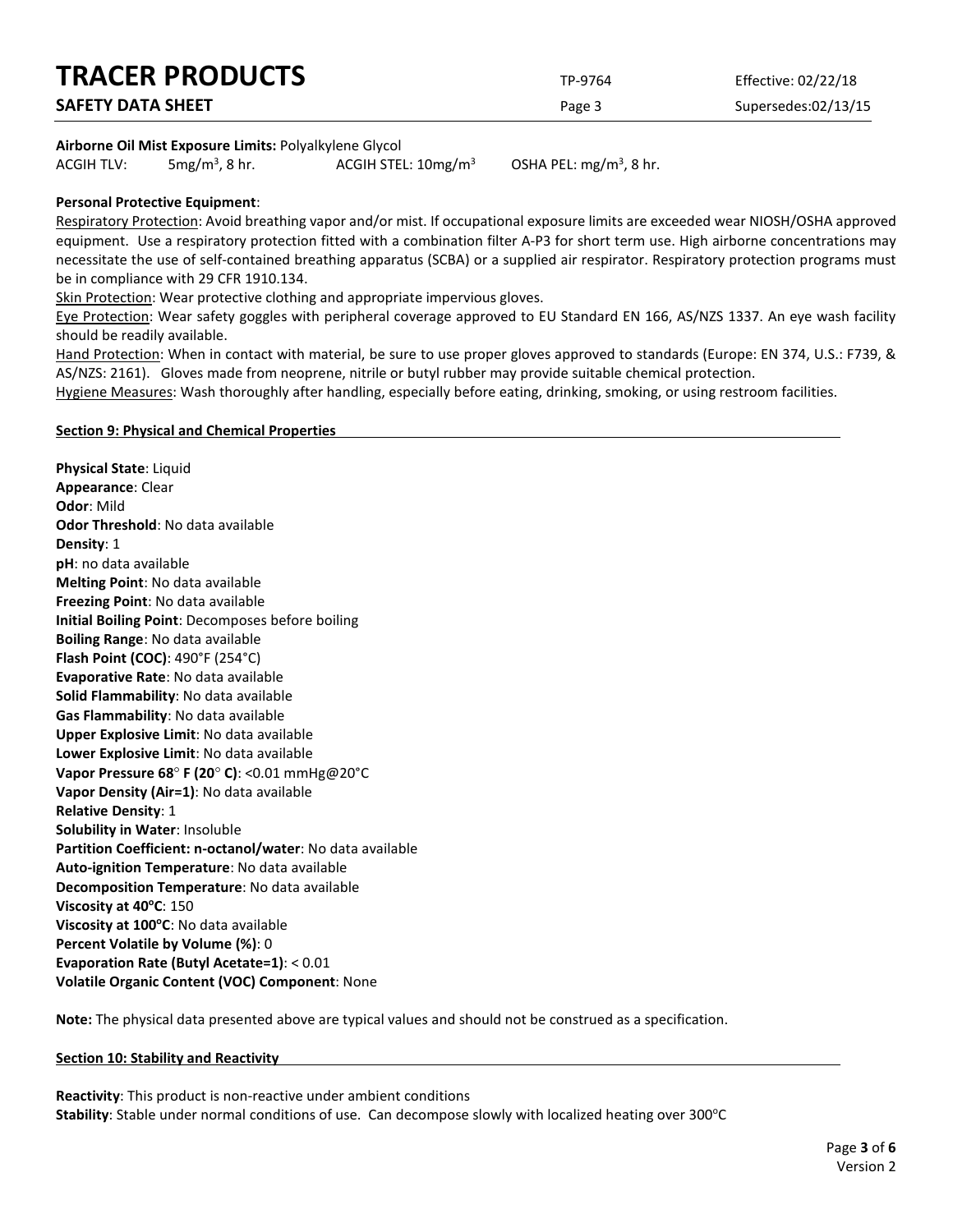| <b>TRACER PRODUCTS</b>   | TP-9764 | Effective: 02/22/18 |
|--------------------------|---------|---------------------|
| <b>SAFETY DATA SHEET</b> | Page 3  | Supersedes:02/13/15 |
|                          |         |                     |

#### **Airborne Oil Mist Exposure Limits:** Polyalkylene Glycol

ACGIH TLV:  $5mg/m<sup>3</sup>$ , 8 hr. ACGIH STEL:  $10$ mg/m<sup>3</sup>

OSHA PEL:  $mg/m<sup>3</sup>$ , 8 hr.

#### **Personal Protective Equipment**:

Respiratory Protection: Avoid breathing vapor and/or mist. If occupational exposure limits are exceeded wear NIOSH/OSHA approved equipment. Use a respiratory protection fitted with a combination filter A-P3 for short term use. High airborne concentrations may necessitate the use of self-contained breathing apparatus (SCBA) or a supplied air respirator. Respiratory protection programs must be in compliance with 29 CFR 1910.134.

Skin Protection: Wear protective clothing and appropriate impervious gloves.

Eye Protection: Wear safety goggles with peripheral coverage approved to EU Standard EN 166, AS/NZS 1337. An eye wash facility should be readily available.

Hand Protection: When in contact with material, be sure to use proper gloves approved to standards (Europe: EN 374, U.S.: F739, & AS/NZS: 2161). Gloves made from neoprene, nitrile or butyl rubber may provide suitable chemical protection.

Hygiene Measures: Wash thoroughly after handling, especially before eating, drinking, smoking, or using restroom facilities.

#### **Section 9: Physical and Chemical Properties**

**Physical State**: Liquid **Appearance**: Clear **Odor**: Mild **Odor Threshold**: No data available **Density**: 1 **pH**: no data available **Melting Point**: No data available **Freezing Point**: No data available **Initial Boiling Point**: Decomposes before boiling **Boiling Range**: No data available **Flash Point (COC)**: 490°F (254°C) **Evaporative Rate**: No data available **Solid Flammability**: No data available **Gas Flammability**: No data available **Upper Explosive Limit**: No data available **Lower Explosive Limit**: No data available **Vapor Pressure 68**° **F (20**° **C)**: <0.01 mmHg@20°C **Vapor Density (Air=1)**: No data available **Relative Density**: 1 **Solubility in Water**: Insoluble **Partition Coefficient: n-octanol/water**: No data available **Auto-ignition Temperature**: No data available **Decomposition Temperature**: No data available **Viscosity at 40<sup>o</sup>C**: 150 **Viscosity at 100°C**: No data available **Percent Volatile by Volume (%)**: 0 **Evaporation Rate (Butyl Acetate=1)**: < 0.01 **Volatile Organic Content (VOC) Component**: None

**Note:** The physical data presented above are typical values and should not be construed as a specification.

#### **Section 10: Stability and Reactivity**

**Reactivity**: This product is non-reactive under ambient conditions Stability: Stable under normal conditions of use. Can decompose slowly with localized heating over 300°C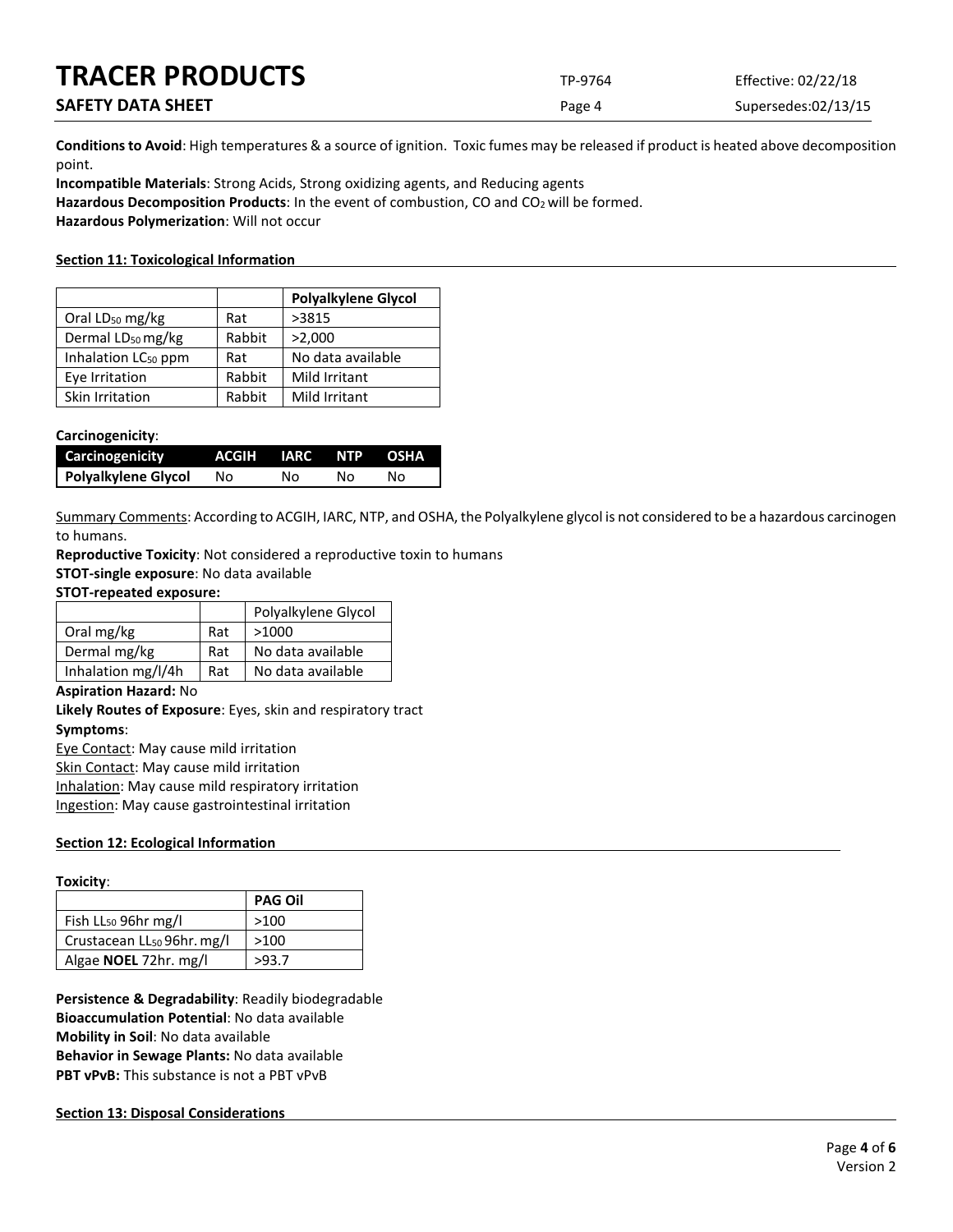| <b>TRACER PRODUCTS</b>   | TP-9764 | Effective: 02/22/18 |
|--------------------------|---------|---------------------|
| <b>SAFETY DATA SHEET</b> | Page 4  | Supersedes:02/13/15 |

**Conditions to Avoid**: High temperatures & a source of ignition. Toxic fumes may be released if product is heated above decomposition point.

**Incompatible Materials**: Strong Acids, Strong oxidizing agents, and Reducing agents Hazardous Decomposition Products: In the event of combustion, CO and CO<sub>2</sub> will be formed. **Hazardous Polymerization**: Will not occur

#### **Section 11: Toxicological Information**

|                                 |        | <b>Polyalkylene Glycol</b> |
|---------------------------------|--------|----------------------------|
| Oral LD <sub>50</sub> mg/kg     | Rat    | >3815                      |
| Dermal LD <sub>50</sub> mg/kg   | Rabbit | >2,000                     |
| Inhalation LC <sub>50</sub> ppm | Rat    | No data available          |
| Eye Irritation                  | Rabbit | <b>Mild Irritant</b>       |
| Skin Irritation                 | Rabbit | Mild Irritant              |

#### **Carcinogenicity**:

| <b>Carcinogenicity</b> | ACGIH IARC NTP OSHA |    |    |    |
|------------------------|---------------------|----|----|----|
| Polyalkylene Glycol    | No.                 | Nο | NΩ | N٥ |

Summary Comments: According to ACGIH, IARC, NTP, and OSHA, the Polyalkylene glycol is not considered to be a hazardous carcinogen to humans.

**Reproductive Toxicity**: Not considered a reproductive toxin to humans

**STOT-single exposure**: No data available

#### **STOT-repeated exposure:**

|                    |     | Polyalkylene Glycol |
|--------------------|-----|---------------------|
| Oral mg/kg         | Rat | >1000               |
| Dermal mg/kg       | Rat | No data available   |
| Inhalation mg/l/4h | Rat | No data available   |

#### **Aspiration Hazard:** No

**Likely Routes of Exposure**: Eyes, skin and respiratory tract **Symptoms**:

Eye Contact: May cause mild irritation Skin Contact: May cause mild irritation

Inhalation: May cause mild respiratory irritation

Ingestion: May cause gastrointestinal irritation

#### **Section 12: Ecological Information**

#### **Toxicity**:

|                                        | <b>PAG Oil</b> |
|----------------------------------------|----------------|
| Fish LL <sub>50</sub> 96hr mg/l        | >100           |
| Crustacean LL <sub>50</sub> 96hr. mg/l | >100           |
| Algae <b>NOEL</b> 72hr. mg/l           | >93.7          |

**Persistence & Degradability**: Readily biodegradable **Bioaccumulation Potential**: No data available **Mobility in Soil**: No data available **Behavior in Sewage Plants:** No data available **PBT vPvB:** This substance is not a PBT vPvB

#### **Section 13: Disposal Considerations**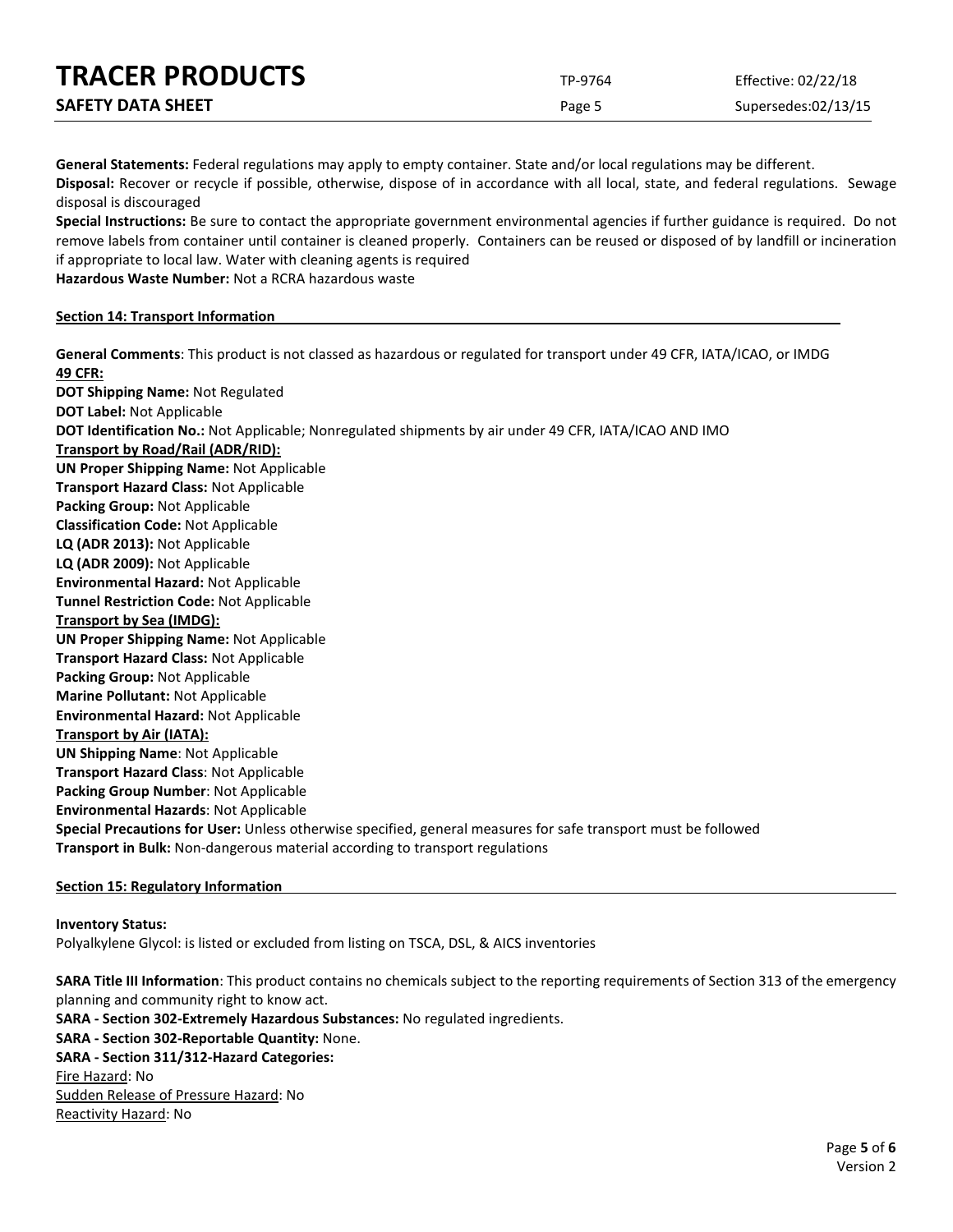| <b>TRACER PRODUCTS</b>   | TP-9764 | Effective: 02/22/18 |
|--------------------------|---------|---------------------|
| <b>SAFETY DATA SHEET</b> | Page 5  | Supersedes:02/13/15 |

**General Statements:** Federal regulations may apply to empty container. State and/or local regulations may be different.

**Disposal:** Recover or recycle if possible, otherwise, dispose of in accordance with all local, state, and federal regulations. Sewage disposal is discouraged

**Special Instructions:** Be sure to contact the appropriate government environmental agencies if further guidance is required. Do not remove labels from container until container is cleaned properly. Containers can be reused or disposed of by landfill or incineration if appropriate to local law. Water with cleaning agents is required

**Hazardous Waste Number:** Not a RCRA hazardous waste

#### **Section 14: Transport Information**

**General Comments**: This product is not classed as hazardous or regulated for transport under 49 CFR, IATA/ICAO, or IMDG **49 CFR: DOT Shipping Name:** Not Regulated **DOT Label:** Not Applicable **DOT Identification No.:** Not Applicable; Nonregulated shipments by air under 49 CFR, IATA/ICAO AND IMO **Transport by Road/Rail (ADR/RID): UN Proper Shipping Name:** Not Applicable **Transport Hazard Class:** Not Applicable **Packing Group:** Not Applicable **Classification Code:** Not Applicable **LQ (ADR 2013):** Not Applicable **LQ (ADR 2009):** Not Applicable **Environmental Hazard:** Not Applicable **Tunnel Restriction Code:** Not Applicable **Transport by Sea (IMDG): UN Proper Shipping Name:** Not Applicable **Transport Hazard Class:** Not Applicable **Packing Group:** Not Applicable **Marine Pollutant:** Not Applicable **Environmental Hazard:** Not Applicable **Transport by Air (IATA): UN Shipping Name**: Not Applicable **Transport Hazard Class**: Not Applicable **Packing Group Number**: Not Applicable **Environmental Hazards**: Not Applicable **Special Precautions for User:** Unless otherwise specified, general measures for safe transport must be followed **Transport in Bulk:** Non-dangerous material according to transport regulations

#### **Section 15: Regulatory Information**

#### **Inventory Status:**

Polyalkylene Glycol: is listed or excluded from listing on TSCA, DSL, & AICS inventories

**SARA Title III Information**: This product contains no chemicals subject to the reporting requirements of Section 313 of the emergency planning and community right to know act. **SARA - Section 302-Extremely Hazardous Substances:** No regulated ingredients. **SARA - Section 302-Reportable Quantity:** None. **SARA - Section 311/312-Hazard Categories:** Fire Hazard: No Sudden Release of Pressure Hazard: No Reactivity Hazard: No